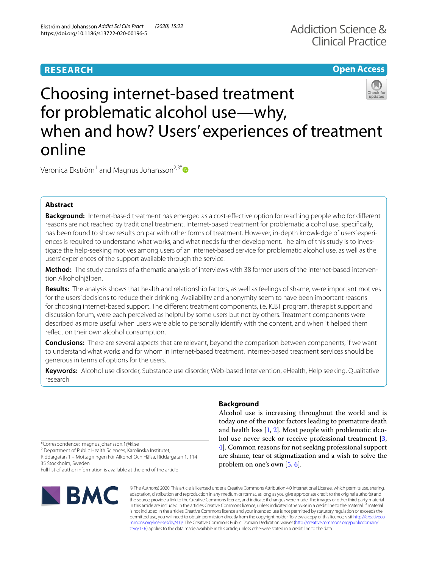# **RESEARCH**

# Addiction Science & Clinical Practice

## **Open Access**

# Choosing internet-based treatment for problematic alcohol use—why, when and how? Users' experiences of treatment online

Veronica Ekström<sup>1</sup> and Magnus Johansson<sup>2,3[\\*](http://orcid.org/0000-0001-8583-2620)</sup>

### **Abstract**

**Background:** Internet-based treatment has emerged as a cost-efective option for reaching people who for diferent reasons are not reached by traditional treatment. Internet-based treatment for problematic alcohol use, specifcally, has been found to show results on par with other forms of treatment. However, in-depth knowledge of users' experiences is required to understand what works, and what needs further development. The aim of this study is to investigate the help-seeking motives among users of an internet-based service for problematic alcohol use, as well as the users' experiences of the support available through the service.

**Method:** The study consists of a thematic analysis of interviews with 38 former users of the internet-based intervention Alkoholhjälpen.

**Results:** The analysis shows that health and relationship factors, as well as feelings of shame, were important motives for the users' decisions to reduce their drinking. Availability and anonymity seem to have been important reasons for choosing internet-based support. The diferent treatment components, i.e. ICBT program, therapist support and discussion forum, were each perceived as helpful by some users but not by others. Treatment components were described as more useful when users were able to personally identify with the content, and when it helped them refect on their own alcohol consumption.

**Conclusions:** There are several aspects that are relevant, beyond the comparison between components, if we want to understand what works and for whom in internet-based treatment. Internet-based treatment services should be generous in terms of options for the users.

**Keywords:** Alcohol use disorder, Substance use disorder, Web-based Intervention, eHealth, Help seeking, Qualitative research

\*Correspondence: magnus.johansson.1@ki.se

<sup>2</sup> Department of Public Health Sciences, Karolinska Institutet,

Riddargatan 1 – Mottagningen För Alkohol Och Hälsa, Riddargatan 1, 114 35 Stockholm, Sweden Full list of author information is available at the end of the article

**BMC** 

#### **Background**

Alcohol use is increasing throughout the world and is today one of the major factors leading to premature death and health loss [[1,](#page-9-0) [2](#page-9-1)]. Most people with problematic alco-hol use never seek or receive professional treatment [\[3](#page-9-2), [4\]](#page-9-3). Common reasons for not seeking professional support are shame, fear of stigmatization and a wish to solve the problem on one's own [\[5](#page-9-4), [6](#page-9-5)].

© The Author(s) 2020. This article is licensed under a Creative Commons Attribution 4.0 International License, which permits use, sharing, adaptation, distribution and reproduction in any medium or format, as long as you give appropriate credit to the original author(s) and the source, provide a link to the Creative Commons licence, and indicate if changes were made. The images or other third party material in this article are included in the article's Creative Commons licence, unless indicated otherwise in a credit line to the material. If material is not included in the article's Creative Commons licence and your intended use is not permitted by statutory regulation or exceeds the permitted use, you will need to obtain permission directly from the copyright holder. To view a copy of this licence, visit [http://creativeco](http://creativecommons.org/licenses/by/4.0/) [mmons.org/licenses/by/4.0/.](http://creativecommons.org/licenses/by/4.0/) The Creative Commons Public Domain Dedication waiver ([http://creativecommons.org/publicdomain/](http://creativecommons.org/publicdomain/zero/1.0/) [zero/1.0/\)](http://creativecommons.org/publicdomain/zero/1.0/) applies to the data made available in this article, unless otherwise stated in a credit line to the data.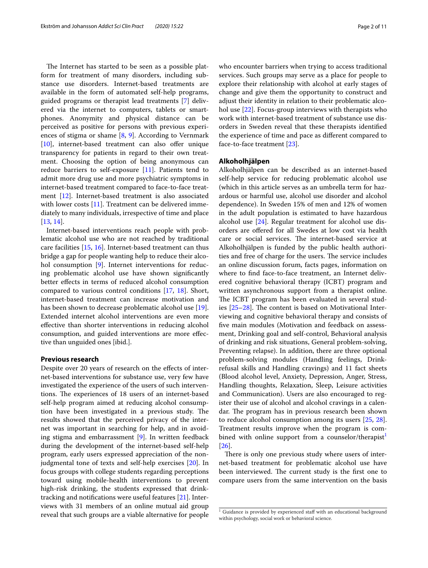The Internet has started to be seen as a possible platform for treatment of many disorders, including substance use disorders. Internet-based treatments are available in the form of automated self-help programs, guided programs or therapist lead treatments [[7\]](#page-9-6) delivered via the internet to computers, tablets or smartphones. Anonymity and physical distance can be perceived as positive for persons with previous experiences of stigma or shame [[8,](#page-9-7) [9\]](#page-9-8). According to Vernmark [[10\]](#page-9-9), internet-based treatment can also offer unique transparency for patients in regard to their own treatment. Choosing the option of being anonymous can reduce barriers to self-exposure [\[11](#page-9-10)]. Patients tend to admit more drug use and more psychiatric symptoms in internet-based treatment compared to face-to-face treatment [\[12\]](#page-9-11). Internet-based treatment is also associated with lower costs [[11\]](#page-9-10). Treatment can be delivered immediately to many individuals, irrespective of time and place [[13,](#page-9-12) [14](#page-9-13)].

Internet-based interventions reach people with problematic alcohol use who are not reached by traditional care facilities [[15](#page-9-14), [16](#page-9-15)]. Internet-based treatment can thus bridge a gap for people wanting help to reduce their alcohol consumption [[9\]](#page-9-8). Internet interventions for reducing problematic alcohol use have shown signifcantly better efects in terms of reduced alcohol consumption compared to various control conditions [[17](#page-9-16), [18](#page-10-0)]. Short, internet-based treatment can increase motivation and has been shown to decrease problematic alcohol use [\[19](#page-10-1)]. Extended internet alcohol interventions are even more efective than shorter interventions in reducing alcohol consumption, and guided interventions are more efective than unguided ones [ibid.].

#### **Previous research**

Despite over 20 years of research on the effects of internet-based interventions for substance use, very few have investigated the experience of the users of such interventions. The experiences of 18 users of an internet-based self-help program aimed at reducing alcohol consumption have been investigated in a previous study. The results showed that the perceived privacy of the internet was important in searching for help, and in avoiding stigma and embarrassment [[9\]](#page-9-8). In written feedback during the development of the internet-based self-help program, early users expressed appreciation of the nonjudgmental tone of texts and self-help exercises [\[20\]](#page-10-2). In focus groups with college students regarding perceptions toward using mobile-health interventions to prevent high-risk drinking, the students expressed that drinktracking and notifcations were useful features [[21](#page-10-3)]. Interviews with 31 members of an online mutual aid group reveal that such groups are a viable alternative for people who encounter barriers when trying to access traditional services. Such groups may serve as a place for people to explore their relationship with alcohol at early stages of change and give them the opportunity to construct and adjust their identity in relation to their problematic alcohol use [\[22\]](#page-10-4). Focus-group interviews with therapists who work with internet-based treatment of substance use disorders in Sweden reveal that these therapists identifed the experience of time and pace as diferent compared to face-to-face treatment [\[23](#page-10-5)].

#### **Alkoholhjälpen**

Alkoholhjälpen can be described as an internet-based self-help service for reducing problematic alcohol use (which in this article serves as an umbrella term for hazardous or harmful use, alcohol use disorder and alcohol dependence). In Sweden 15% of men and 12% of women in the adult population is estimated to have hazardous alcohol use [[24](#page-10-6)]. Regular treatment for alcohol use disorders are ofered for all Swedes at low cost via health care or social services. The internet-based service at Alkoholhjälpen is funded by the public health authorities and free of charge for the users. The service includes an online discussion forum, facts pages, information on where to fnd face-to-face treatment, an Internet delivered cognitive behavioral therapy (ICBT) program and written asynchronous support from a therapist online. The ICBT program has been evaluated in several studies  $[25-28]$  $[25-28]$ . The content is based on Motivational Interviewing and cognitive behavioral therapy and consists of fve main modules (Motivation and feedback on assessment, Drinking goal and self-control, Behavioral analysis of drinking and risk situations, General problem-solving, Preventing relapse). In addition, there are three optional problem-solving modules (Handling feelings, Drinkrefusal skills and Handling cravings) and 11 fact sheets (Blood alcohol level, Anxiety, Depression, Anger, Stress, Handling thoughts, Relaxation, Sleep, Leisure activities and Communication). Users are also encouraged to register their use of alcohol and alcohol cravings in a calendar. The program has in previous research been shown to reduce alcohol consumption among its users [\[25,](#page-10-7) [28](#page-10-8)]. Treatment results improve when the program is com-bined with online support from a counselor/therapist<sup>[1](#page-1-0)</sup> [[26\]](#page-10-9).

There is only one previous study where users of internet-based treatment for problematic alcohol use have been interviewed. The current study is the first one to compare users from the same intervention on the basis

<span id="page-1-0"></span> $1$  Guidance is provided by experienced staff with an educational background within psychology, social work or behavioral science.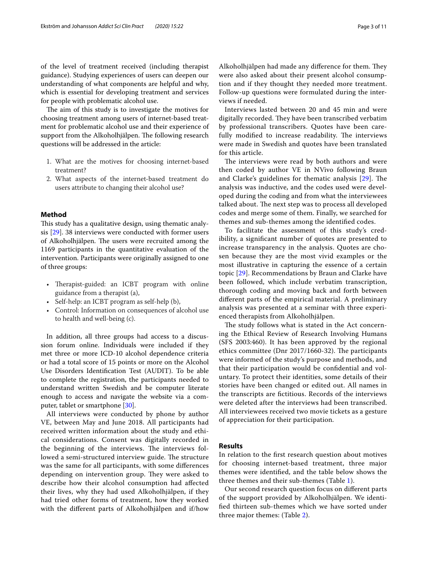of the level of treatment received (including therapist guidance). Studying experiences of users can deepen our understanding of what components are helpful and why, which is essential for developing treatment and services for people with problematic alcohol use.

The aim of this study is to investigate the motives for choosing treatment among users of internet-based treatment for problematic alcohol use and their experience of support from the Alkoholhjälpen. The following research questions will be addressed in the article:

- 1. What are the motives for choosing internet-based treatment?
- 2. What aspects of the internet-based treatment do users attribute to changing their alcohol use?

#### **Method**

This study has a qualitative design, using thematic analysis [[29\]](#page-10-10). 38 interviews were conducted with former users of Alkoholhjälpen. The users were recruited among the 1169 participants in the quantitative evaluation of the intervention. Participants were originally assigned to one of three groups:

- Therapist-guided: an ICBT program with online guidance from a therapist (a),
- Self-help: an ICBT program as self-help (b),
- Control: Information on consequences of alcohol use to health and well-being (c).

In addition, all three groups had access to a discussion forum online. Individuals were included if they met three or more ICD-10 alcohol dependence criteria or had a total score of 15 points or more on the Alcohol Use Disorders Identifcation Test (AUDIT). To be able to complete the registration, the participants needed to understand written Swedish and be computer literate enough to access and navigate the website via a computer, tablet or smartphone [[30\]](#page-10-11).

All interviews were conducted by phone by author VE, between May and June 2018. All participants had received written information about the study and ethical considerations. Consent was digitally recorded in the beginning of the interviews. The interviews followed a semi-structured interview guide. The structure was the same for all participants, with some diferences depending on intervention group. They were asked to describe how their alcohol consumption had afected their lives, why they had used Alkoholhjälpen, if they had tried other forms of treatment, how they worked with the diferent parts of Alkoholhjälpen and if/how Alkoholhjälpen had made any difference for them. They were also asked about their present alcohol consumption and if they thought they needed more treatment. Follow-up questions were formulated during the interviews if needed.

Interviews lasted between 20 and 45 min and were digitally recorded. They have been transcribed verbatim by professional transcribers. Quotes have been carefully modified to increase readability. The interviews were made in Swedish and quotes have been translated for this article.

The interviews were read by both authors and were then coded by author VE in NVivo following Braun and Clarke's guidelines for thematic analysis  $[29]$  $[29]$ . The analysis was inductive, and the codes used were developed during the coding and from what the interviewees talked about. The next step was to process all developed codes and merge some of them. Finally, we searched for themes and sub-themes among the identifed codes.

To facilitate the assessment of this study's credibility, a signifcant number of quotes are presented to increase transparency in the analysis. Quotes are chosen because they are the most vivid examples or the most illustrative in capturing the essence of a certain topic [[29\]](#page-10-10). Recommendations by Braun and Clarke have been followed, which include verbatim transcription, thorough coding and moving back and forth between diferent parts of the empirical material. A preliminary analysis was presented at a seminar with three experienced therapists from Alkoholhjälpen.

The study follows what is stated in the Act concerning the Ethical Review of Research Involving Humans (SFS 2003:460). It has been approved by the regional ethics committee (Dnr 2017/1660-32). The participants were informed of the study's purpose and methods, and that their participation would be confdential and voluntary. To protect their identities, some details of their stories have been changed or edited out. All names in the transcripts are fctitious. Records of the interviews were deleted after the interviews had been transcribed. All interviewees received two movie tickets as a gesture of appreciation for their participation.

#### **Results**

In relation to the frst research question about motives for choosing internet-based treatment, three major themes were identifed, and the table below shows the three themes and their sub-themes (Table [1\)](#page-3-0).

Our second research question focus on diferent parts of the support provided by Alkoholhjälpen. We identifed thirteen sub-themes which we have sorted under three major themes: (Table [2\)](#page-3-1).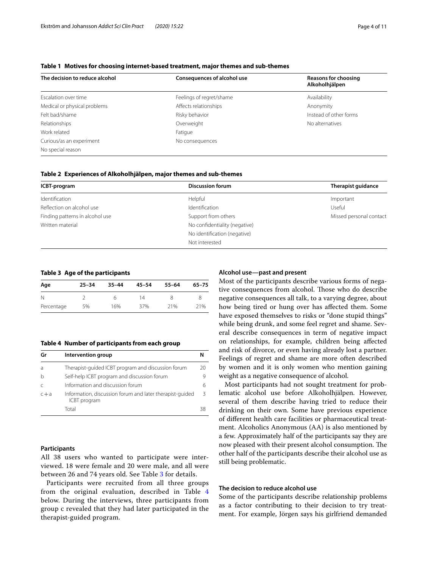#### <span id="page-3-0"></span>**Table 1 Motives for choosing internet-based treatment, major themes and sub-themes**

| The decision to reduce alcohol | <b>Consequences of alcohol use</b> | <b>Reasons for choosing</b><br>Alkoholhjälpen |  |
|--------------------------------|------------------------------------|-----------------------------------------------|--|
| Escalation over time           | Feelings of regret/shame           | Availability                                  |  |
| Medical or physical problems   | Affects relationships              | Anonymity                                     |  |
| Felt bad/shame                 | Risky behavior                     | Instead of other forms                        |  |
| Relationships                  | Overweight                         | No alternatives                               |  |
| Work related                   | Fatigue                            |                                               |  |
| Curious/as an experiment       | No consequences                    |                                               |  |
| No special reason              |                                    |                                               |  |

<span id="page-3-1"></span>

| ICBT-program                    | <b>Discussion forum</b>       | Therapist quidance      |
|---------------------------------|-------------------------------|-------------------------|
| Identification                  | Helpful                       | Important               |
| Reflection on alcohol use       | Identification                | Useful                  |
| Finding patterns in alcohol use | Support from others           | Missed personal contact |
| Written material                | No confidentiality (negative) |                         |
|                                 | No identification (negative)  |                         |
|                                 | Not interested                |                         |

#### <span id="page-3-2"></span>**Table 3 Age of the participants**

| Age        | $25 - 34$ | $35 - 44$ | $45 - 54$ | $55 - 64$ | $65 - 75$ |
|------------|-----------|-----------|-----------|-----------|-----------|
| N          |           | h         | 14        | 8         |           |
| Percentage | 5%        | 16%       | 37%       | 21%       | 21%       |

<span id="page-3-3"></span>**Table 4 Number of participants from each group**

| Gr      | Intervention group                                                              |    |
|---------|---------------------------------------------------------------------------------|----|
| a       | Therapist-guided ICBT program and discussion forum                              | 20 |
| h       | Self-help ICBT program and discussion forum                                     | 9  |
|         | Information and discussion forum                                                | 6  |
| $c + a$ | Information, discussion forum and later therapist-quided<br><b>ICBT</b> program | 3  |
|         | Total                                                                           | 38 |

#### **Participants**

All 38 users who wanted to participate were interviewed. 18 were female and 20 were male, and all were between 26 and 74 years old. See Table [3](#page-3-2) for details.

Participants were recruited from all three groups from the original evaluation, described in Table [4](#page-3-3) below. During the interviews, three participants from group c revealed that they had later participated in the therapist-guided program.

#### **Alcohol use—past and present**

Most of the participants describe various forms of negative consequences from alcohol. Those who do describe negative consequences all talk, to a varying degree, about how being tired or hung over has afected them. Some have exposed themselves to risks or "done stupid things" while being drunk, and some feel regret and shame. Several describe consequences in term of negative impact on relationships, for example, children being afected and risk of divorce, or even having already lost a partner. Feelings of regret and shame are more often described by women and it is only women who mention gaining weight as a negative consequence of alcohol.

Most participants had not sought treatment for problematic alcohol use before Alkoholhjälpen. However, several of them describe having tried to reduce their drinking on their own. Some have previous experience of diferent health care facilities or pharmaceutical treatment. Alcoholics Anonymous (AA) is also mentioned by a few. Approximately half of the participants say they are now pleased with their present alcohol consumption. The other half of the participants describe their alcohol use as still being problematic.

#### **The decision to reduce alcohol use**

Some of the participants describe relationship problems as a factor contributing to their decision to try treatment. For example, Jörgen says his girlfriend demanded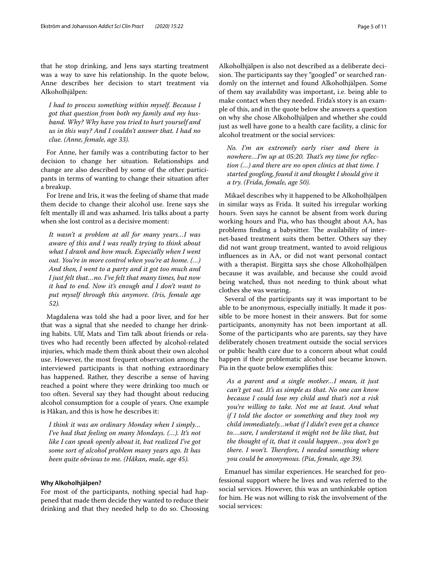that he stop drinking, and Jens says starting treatment was a way to save his relationship. In the quote below, Anne describes her decision to start treatment via Alkoholhjälpen:

*I had to process something within myself. Because I got that question from both my family and my husband. Why? Why have you tried to hurt yourself and us in this way? And I couldn't answer that. I had no clue. (Anne, female, age 33).*

For Anne, her family was a contributing factor to her decision to change her situation. Relationships and change are also described by some of the other participants in terms of wanting to change their situation after a breakup.

For Irene and Iris, it was the feeling of shame that made them decide to change their alcohol use. Irene says she felt mentally ill and was ashamed. Iris talks about a party when she lost control as a decisive moment:

*It wasn't a problem at all for many years…I was aware of this and I was really trying to think about what I drank and how much. Especially when I went out. You're in more control when you're at home. (…) And then, I went to a party and it got too much and I just felt that…no. I've felt that many times, but now it had to end. Now it's enough and I don't want to put myself through this anymore. (Iris, female age 52).*

Magdalena was told she had a poor liver, and for her that was a signal that she needed to change her drinking habits. Ulf, Mats and Tim talk about friends or relatives who had recently been afected by alcohol-related injuries, which made them think about their own alcohol use. However, the most frequent observation among the interviewed participants is that nothing extraordinary has happened. Rather, they describe a sense of having reached a point where they were drinking too much or too often. Several say they had thought about reducing alcohol consumption for a couple of years. One example is Håkan, and this is how he describes it:

*I think it was an ordinary Monday when I simply… I've had that feeling on many Mondays. (…). It's not like I can speak openly about it, but realized I've got some sort of alcohol problem many years ago. It has been quite obvious to me. (Håkan, male, age 45).*

#### **Why Alkoholhjälpen?**

For most of the participants, nothing special had happened that made them decide they wanted to reduce their drinking and that they needed help to do so. Choosing Alkoholhjälpen is also not described as a deliberate decision. The participants say they "googled" or searched randomly on the internet and found Alkoholhjälpen. Some of them say availability was important, i.e. being able to make contact when they needed. Frida's story is an example of this, and in the quote below she answers a question on why she chose Alkoholhjälpen and whether she could just as well have gone to a health care facility, a clinic for alcohol treatment or the social services:

*No. I'm an extremely early riser and there is*  nowhere...I'm up at 05:20. That's my time for reflec*tion (…) and there are no open clinics at that time. I started googling, found it and thought I should give it a try. (Frida, female, age 50).*

Mikael describes why it happened to be Alkoholhjälpen in similar ways as Frida. It suited his irregular working hours. Sven says he cannot be absent from work during working hours and Pia, who has thought about AA, has problems finding a babysitter. The availability of internet-based treatment suits them better. Others say they did not want group treatment, wanted to avoid religious infuences as in AA, or did not want personal contact with a therapist. Birgitta says she chose Alkoholhjälpen because it was available, and because she could avoid being watched, thus not needing to think about what clothes she was wearing.

Several of the participants say it was important to be able to be anonymous, especially initially. It made it possible to be more honest in their answers. But for some participants, anonymity has not been important at all. Some of the participants who are parents, say they have deliberately chosen treatment outside the social services or public health care due to a concern about what could happen if their problematic alcohol use became known. Pia in the quote below exemplifes this:

*As a parent and a single mother…I mean, it just can't get out. It's as simple as that. No one can know because I could lose my child and that's not a risk you're willing to take. Not me at least. And what if I told the doctor or something and they took my child immediately…what if I didn't even get a chance to….sure, I understand it might not be like that, but the thought of it, that it could happen…you don't go there. I won't. Therefore, I needed something where you could be anonymous. (Pia, female, age 39).*

Emanuel has similar experiences. He searched for professional support where he lives and was referred to the social services. However, this was an unthinkable option for him. He was not willing to risk the involvement of the social services: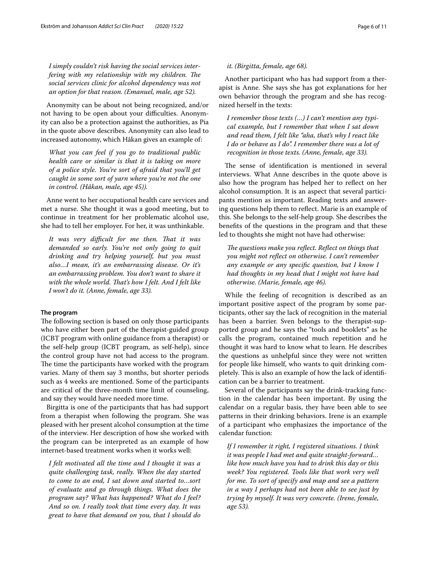*I simply couldn't risk having the social services interfering with my relationship with my children. The social services clinic for alcohol dependency was not an option for that reason. (Emanuel, male, age 52).*

Anonymity can be about not being recognized, and/or not having to be open about your difficulties. Anonymity can also be a protection against the authorities, as Pia in the quote above describes. Anonymity can also lead to increased autonomy, which Håkan gives an example of:

*What you can feel if you go to traditional public health care or similar is that it is taking on more of a police style. You're sort of afraid that you'll get caught in some sort of yarn where you're not the one in control. (Håkan, male, age 45)).*

Anne went to her occupational health care services and met a nurse. She thought it was a good meeting, but to continue in treatment for her problematic alcohol use, she had to tell her employer. For her, it was unthinkable.

*It was very difcult for me then. Tat it was demanded so early. You're not only going to quit drinking and try helping yourself, but you must also…I mean, it's an embarrassing disease. Or it's an embarrassing problem. You don't want to share it*  with the whole world. That's how I felt. And I felt like *I won't do it. (Anne, female, age 33).*

#### **The program**

The following section is based on only those participants who have either been part of the therapist-guided group (ICBT program with online guidance from a therapist) or the self-help group (ICBT program, as self-help), since the control group have not had access to the program. The time the participants have worked with the program varies. Many of them say 3 months, but shorter periods such as 4 weeks are mentioned. Some of the participants are critical of the three-month time limit of counseling, and say they would have needed more time.

Birgitta is one of the participants that has had support from a therapist when following the program. She was pleased with her present alcohol consumption at the time of the interview. Her description of how she worked with the program can be interpreted as an example of how internet-based treatment works when it works well:

*I felt motivated all the time and I thought it was a quite challenging task, really. When the day started to come to an end, I sat down and started to…sort of evaluate and go through things. What does the program say? What has happened? What do I feel? And so on. I really took that time every day. It was great to have that demand on you, that I should do* 

#### *it. (Birgitta, female, age 68).*

Another participant who has had support from a therapist is Anne. She says she has got explanations for her own behavior through the program and she has recognized herself in the texts:

*I remember those texts (…) I can't mention any typical example, but I remember that when I sat down and read them, I felt like "aha, that's why I react like I do or behave as I do". I remember there was a lot of recognition in those texts. (Anne, female, age 33).*

The sense of identification is mentioned in several interviews. What Anne describes in the quote above is also how the program has helped her to refect on her alcohol consumption. It is an aspect that several participants mention as important. Reading texts and answering questions help them to refect. Marie is an example of this. She belongs to the self-help group. She describes the benefts of the questions in the program and that these led to thoughts she might not have had otherwise:

*The questions make you reflect. Reflect on things that you might not refect on otherwise. I can't remember any example or any specifc question, but I know I had thoughts in my head that I might not have had otherwise. (Marie, female, age 46).*

While the feeling of recognition is described as an important positive aspect of the program by some participants, other say the lack of recognition in the material has been a barrier. Sven belongs to the therapist-supported group and he says the "tools and booklets" as he calls the program, contained much repetition and he thought it was hard to know what to learn. He describes the questions as unhelpful since they were not written for people like himself, who wants to quit drinking completely. This is also an example of how the lack of identification can be a barrier to treatment.

Several of the participants say the drink-tracking function in the calendar has been important. By using the calendar on a regular basis, they have been able to see patterns in their drinking behaviors. Irene is an example of a participant who emphasizes the importance of the calendar function:

*If I remember it right, I registered situations. I think it was people I had met and quite straight-forward… like how much have you had to drink this day or this week? You registered. Tools like that work very well for me. To sort of specify and map and see a pattern in a way I perhaps had not been able to see just by trying by myself. It was very concrete. (Irene, female, age 53).*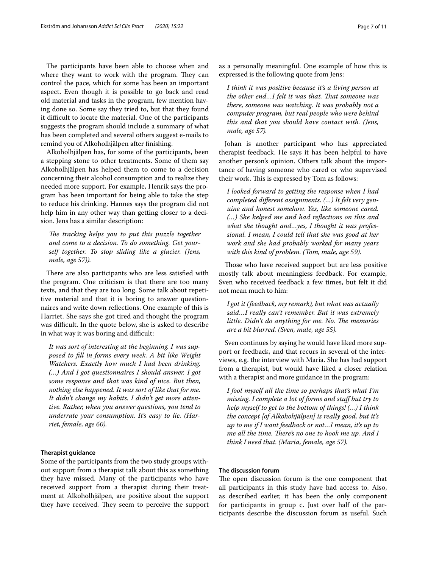The participants have been able to choose when and where they want to work with the program. They can control the pace, which for some has been an important aspect. Even though it is possible to go back and read old material and tasks in the program, few mention having done so. Some say they tried to, but that they found it difficult to locate the material. One of the participants suggests the program should include a summary of what has been completed and several others suggest e-mails to remind you of Alkoholhjälpen after fnishing.

Alkoholhjälpen has, for some of the participants, been a stepping stone to other treatments. Some of them say Alkoholhjälpen has helped them to come to a decision concerning their alcohol consumption and to realize they needed more support. For example, Henrik says the program has been important for being able to take the step to reduce his drinking. Hannes says the program did not help him in any other way than getting closer to a decision. Jens has a similar description:

The tracking helps you to put this puzzle together *and come to a decision. To do something. Get yourself together. To stop sliding like a glacier. (Jens, male, age 57)).*

There are also participants who are less satisfied with the program. One criticism is that there are too many texts, and that they are too long. Some talk about repetitive material and that it is boring to answer questionnaires and write down refections. One example of this is Harriet. She says she got tired and thought the program was difficult. In the quote below, she is asked to describe in what way it was boring and difficult:

*It was sort of interesting at the beginning. I was supposed to fll in forms every week. A bit like Weight Watchers. Exactly how much I had been drinking. (…) And I got questionnaires I should answer. I got some response and that was kind of nice. But then, nothing else happened. It was sort of like that for me. It didn't change my habits. I didn't get more attentive. Rather, when you answer questions, you tend to underrate your consumption. It's easy to lie. (Harriet, female, age 60).*

#### **Therapist guidance**

Some of the participants from the two study groups without support from a therapist talk about this as something they have missed. Many of the participants who have received support from a therapist during their treatment at Alkoholhjälpen, are positive about the support they have received. They seem to perceive the support as a personally meaningful. One example of how this is expressed is the following quote from Jens:

*I think it was positive because it's a living person at the other end…I felt it was that. Tat someone was there, someone was watching. It was probably not a computer program, but real people who were behind this and that you should have contact with. (Jens, male, age 57).*

Johan is another participant who has appreciated therapist feedback. He says it has been helpful to have another person's opinion. Others talk about the importance of having someone who cared or who supervised their work. This is expressed by Tom as follows:

*I looked forward to getting the response when I had completed diferent assignments. (…) It felt very genuine and honest somehow. Yes, like someone cared. (…) She helped me and had refections on this and what she thought and…yes, I thought it was professional. I mean, I could tell that she was good at her work and she had probably worked for many years with this kind of problem. (Tom, male, age 59).*

Those who have received support but are less positive mostly talk about meaningless feedback. For example, Sven who received feedback a few times, but felt it did not mean much to him:

*I got it (feedback, my remark), but what was actually said…I really can't remember. But it was extremely little. Didn't do anything for me. No. The memories are a bit blurred. (Sven, male, age 55).*

Sven continues by saying he would have liked more support or feedback, and that recurs in several of the interviews, e.g. the interview with Maria. She has had support from a therapist, but would have liked a closer relation with a therapist and more guidance in the program:

*I fool myself all the time so perhaps that's what I'm missing. I complete a lot of forms and stuf but try to help myself to get to the bottom of things! (…) I think the concept [of Alkohohjälpen] is really good, but it's up to me if I want feedback or not…I mean, it's up to me all the time. There's no one to hook me up. And I think I need that. (Maria, female, age 57).*

#### **The discussion forum**

The open discussion forum is the one component that all participants in this study have had access to. Also, as described earlier, it has been the only component for participants in group c. Just over half of the participants describe the discussion forum as useful. Such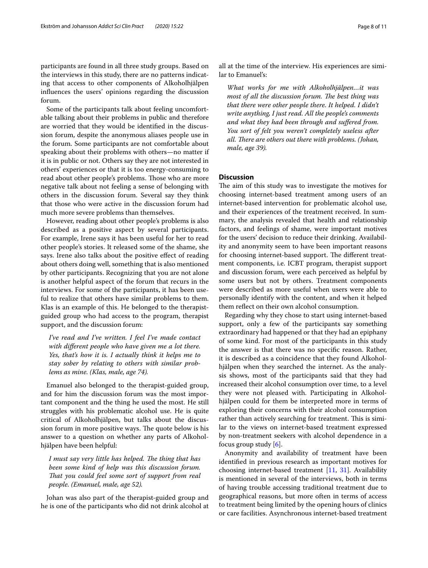participants are found in all three study groups. Based on the interviews in this study, there are no patterns indicating that access to other components of Alkoholhjälpen infuences the users' opinions regarding the discussion forum.

Some of the participants talk about feeling uncomfortable talking about their problems in public and therefore are worried that they would be identifed in the discussion forum, despite the anonymous aliases people use in the forum. Some participants are not comfortable about speaking about their problems with others—no matter if it is in public or not. Others say they are not interested in others' experiences or that it is too energy-consuming to read about other people's problems. Those who are more negative talk about not feeling a sense of belonging with others in the discussion forum. Several say they think that those who were active in the discussion forum had much more severe problems than themselves.

However, reading about other people's problems is also described as a positive aspect by several participants. For example, Irene says it has been useful for her to read other people's stories. It released some of the shame, she says. Irene also talks about the positive efect of reading about others doing well, something that is also mentioned by other participants. Recognizing that you are not alone is another helpful aspect of the forum that recurs in the interviews. For some of the participants, it has been useful to realize that others have similar problems to them. Klas is an example of this. He belonged to the therapistguided group who had access to the program, therapist support, and the discussion forum:

*I've read and I've written. I feel I've made contact with diferent people who have given me a lot there. Yes, that's how it is. I actually think it helps me to stay sober by relating to others with similar problems as mine. (Klas, male, age 74).*

Emanuel also belonged to the therapist-guided group, and for him the discussion forum was the most important component and the thing he used the most. He still struggles with his problematic alcohol use. He is quite critical of Alkoholhjälpen, but talks about the discussion forum in more positive ways. The quote below is his answer to a question on whether any parts of Alkoholhjälpen have been helpful:

*I must say very little has helped. The thing that has been some kind of help was this discussion forum. That you could feel some sort of support from real people. (Emanuel, male, age 52).*

Johan was also part of the therapist-guided group and he is one of the participants who did not drink alcohol at all at the time of the interview. His experiences are similar to Emanuel's:

*What works for me with Alkoholhjälpen…it was most of all the discussion forum. The best thing was that there were other people there. It helped. I didn't write anything, I just read. All the people's comments and what they had been through and sufered from. You sort of felt you weren't completely useless after all. There are others out there with problems. (Johan, male, age 39).*

#### **Discussion**

The aim of this study was to investigate the motives for choosing internet-based treatment among users of an internet-based intervention for problematic alcohol use, and their experiences of the treatment received. In summary, the analysis revealed that health and relationship factors, and feelings of shame, were important motives for the users' decision to reduce their drinking. Availability and anonymity seem to have been important reasons for choosing internet-based support. The different treatment components, i.e. ICBT program, therapist support and discussion forum, were each perceived as helpful by some users but not by others. Treatment components were described as more useful when users were able to personally identify with the content, and when it helped them refect on their own alcohol consumption.

Regarding why they chose to start using internet-based support, only a few of the participants say something extraordinary had happened or that they had an epiphany of some kind. For most of the participants in this study the answer is that there was no specifc reason. Rather, it is described as a coincidence that they found Alkoholhjälpen when they searched the internet. As the analysis shows, most of the participants said that they had increased their alcohol consumption over time, to a level they were not pleased with. Participating in Alkoholhjälpen could for them be interpreted more in terms of exploring their concerns with their alcohol consumption rather than actively searching for treatment. This is similar to the views on internet-based treatment expressed by non-treatment seekers with alcohol dependence in a focus group study  $[6]$  $[6]$ .

Anonymity and availability of treatment have been identifed in previous research as important motives for choosing internet-based treatment [\[11,](#page-9-10) [31](#page-10-12)]. Availability is mentioned in several of the interviews, both in terms of having trouble accessing traditional treatment due to geographical reasons, but more often in terms of access to treatment being limited by the opening hours of clinics or care facilities. Asynchronous internet-based treatment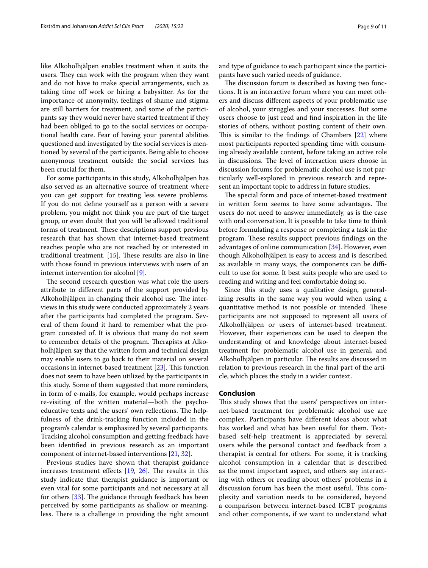like Alkoholhjälpen enables treatment when it suits the users. They can work with the program when they want and do not have to make special arrangements, such as taking time of work or hiring a babysitter. As for the importance of anonymity, feelings of shame and stigma are still barriers for treatment, and some of the participants say they would never have started treatment if they had been obliged to go to the social services or occupational health care. Fear of having your parental abilities questioned and investigated by the social services is mentioned by several of the participants. Being able to choose anonymous treatment outside the social services has been crucial for them.

For some participants in this study, Alkoholhjälpen has also served as an alternative source of treatment where you can get support for treating less severe problems. If you do not defne yourself as a person with a severe problem, you might not think you are part of the target group, or even doubt that you will be allowed traditional forms of treatment. These descriptions support previous research that has shown that internet-based treatment reaches people who are not reached by or interested in traditional treatment.  $[15]$  $[15]$ . These results are also in line with those found in previous interviews with users of an internet intervention for alcohol [[9\]](#page-9-8).

The second research question was what role the users attribute to diferent parts of the support provided by Alkoholhjälpen in changing their alcohol use. The interviews in this study were conducted approximately 2 years after the participants had completed the program. Several of them found it hard to remember what the program consisted of. It is obvious that many do not seem to remember details of the program. Therapists at Alkoholhjälpen say that the written form and technical design may enable users to go back to their material on several occasions in internet-based treatment  $[23]$  $[23]$ . This function does not seem to have been utilized by the participants in this study. Some of them suggested that more reminders, in form of e-mails, for example, would perhaps increase re-visiting of the written material—both the psychoeducative texts and the users' own reflections. The helpfulness of the drink-tracking function included in the program's calendar is emphasized by several participants. Tracking alcohol consumption and getting feedback have been identifed in previous research as an important component of internet-based interventions [[21,](#page-10-3) [32](#page-10-13)].

Previous studies have shown that therapist guidance increases treatment effects  $[19, 26]$  $[19, 26]$  $[19, 26]$  $[19, 26]$ . The results in this study indicate that therapist guidance is important or even vital for some participants and not necessary at all for others  $[33]$ . The guidance through feedback has been perceived by some participants as shallow or meaningless. There is a challenge in providing the right amount and type of guidance to each participant since the participants have such varied needs of guidance.

The discussion forum is described as having two functions. It is an interactive forum where you can meet others and discuss diferent aspects of your problematic use of alcohol, your struggles and your successes. But some users choose to just read and fnd inspiration in the life stories of others, without posting content of their own. This is similar to the findings of Chambers  $[22]$  $[22]$  $[22]$  where most participants reported spending time with consuming already available content, before taking an active role in discussions. The level of interaction users choose in discussion forums for problematic alcohol use is not particularly well-explored in previous research and represent an important topic to address in future studies.

The special form and pace of internet-based treatment in written form seems to have some advantages. The users do not need to answer immediately, as is the case with oral conversation. It is possible to take time to think before formulating a response or completing a task in the program. These results support previous findings on the advantages of online communication [[34\]](#page-10-15). However, even though Alkoholhjälpen is easy to access and is described as available in many ways, the components can be difficult to use for some. It best suits people who are used to reading and writing and feel comfortable doing so.

Since this study uses a qualitative design, generalizing results in the same way you would when using a quantitative method is not possible or intended. These participants are not supposed to represent all users of Alkoholhjälpen or users of internet-based treatment. However, their experiences can be used to deepen the understanding of and knowledge about internet-based treatment for problematic alcohol use in general, and Alkoholhjälpen in particular. The results are discussed in relation to previous research in the fnal part of the article, which places the study in a wider context.

#### **Conclusion**

This study shows that the users' perspectives on internet-based treatment for problematic alcohol use are complex. Participants have diferent ideas about what has worked and what has been useful for them. Textbased self-help treatment is appreciated by several users while the personal contact and feedback from a therapist is central for others. For some, it is tracking alcohol consumption in a calendar that is described as the most important aspect, and others say interacting with others or reading about others' problems in a discussion forum has been the most useful. This complexity and variation needs to be considered, beyond a comparison between internet-based ICBT programs and other components, if we want to understand what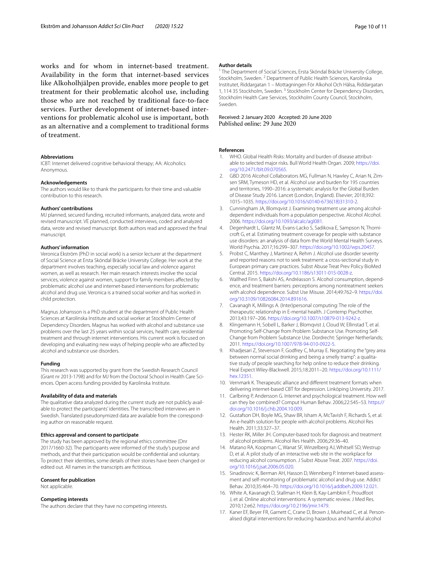works and for whom in internet-based treatment. Availability in the form that internet-based services like Alkoholhjälpen provide, enables more people to get treatment for their problematic alcohol use, including those who are not reached by traditional face-to-face services. Further development of internet-based interventions for problematic alcohol use is important, both as an alternative and a complement to traditional forms of treatment.

#### **Abbreviations**

ICBT: Internet delivered cognitive behavioral therapy; AA: Alcoholics Anonymous.

#### **Acknowledgements**

The authors would like to thank the participants for their time and valuable contribution to this research.

#### **Authors' contributions**

MJ planned, secured funding, recruited informants, analyzed data, wrote and revised manuscript. VE planned, conducted interviews, coded and analyzed data, wrote and revised manuscript. Both authors read and approved the fnal manuscript.

#### **Authors' information**

Veronica Ekström (PhD in social work) is a senior lecturer at the department of Social Science at Ersta Sköndal Bräcke University College. Her work at the department involves teaching, especially social law and violence against women, as well as research. Her main research interests involve the social services, violence against women, support for family members afected by problematic alcohol use and internet-based interventions for problematic alcohol and drug use. Veronica is a trained social worker and has worked in child protection.

Magnus Johansson is a PhD student at the department of Public Health Sciences at Karolinska Institute and social worker at Stockholm Center of Dependency Disorders. Magnus has worked with alcohol and substance use problems over the last 25 years within social services, health care, residential treatment and through internet interventions. His current work is focused on developing and evaluating new ways of helping people who are afected by alcohol and substance use disorders.

#### **Funding**

This research was supported by grant from the Swedish Research Council (Grant nr 2013-1798) and for MJ from the Doctoral School in Health Care Sciences. Open access funding provided by Karolinska Institute.

#### **Availability of data and materials**

The qualitative data analyzed during the current study are not publicly available to protect the participants' identities. The transcribed interviews are in Swedish. Translated pseudonymized data are available from the corresponding author on reasonable request.

#### **Ethics approval and consent to participate**

The study has been approved by the regional ethics committee (Dnr 2017/1660-32). The participants were informed of the study's purpose and methods, and that their participation would be confdential and voluntary. To protect their identities, some details of their stories have been changed or edited out. All names in the transcripts are fctitious.

#### **Consent for publication**

Not applicable.

#### **Competing interests**

The authors declare that they have no competing interests.

#### **Author details**

<sup>1</sup> The Department of Social Sciences, Ersta Sköndal Bräcke University College, Stockholm, Sweden. <sup>2</sup> Department of Public Health Sciences, Karolinska Institutet, Riddargatan 1 – Mottagningen För Alkohol Och Hälsa, Riddargatan 1, 114 35 Stockholm, Sweden.<sup>3</sup> Stockholm Center for Dependency Disorders, Stockholm Health Care Services, Stockholm County Council, Stockholm, Sweden.

# Received: 2 January 2020 Accepted: 20 June 2020

#### **References**

- <span id="page-9-0"></span>WHO. Global Health Risks: Mortality and burden of disease attributable to selected major risks. Bull World Health Organ. 2009; [https://doi.](https://doi.org/10.2471/blt.09.070565) [org/10.2471/blt.09.070565](https://doi.org/10.2471/blt.09.070565).
- <span id="page-9-1"></span>2. GBD 2016 Alcohol Collaborators MG, Fullman N, Hawley C, Arian N, Zimsen SRM, Tymeson HD, et al. Alcohol use and burden for 195 countries and territories, 1990–2016: a systematic analysis for the Global Burden of Disease Study 2016. Lancet (London, England). Elsevier; 2018;392: 1015–1035. [https://doi.org/10.1016/s0140-6736\(18\)31310-2](https://doi.org/10.1016/s0140-6736(18)31310-2).
- <span id="page-9-2"></span>Cunningham JA, Blomqvist J. Examining treatment use among alcoholdependent individuals from a population perspective. Alcohol Alcohol. 2006. [https://doi.org/10.1093/alcalc/agl081.](https://doi.org/10.1093/alcalc/agl081)
- <span id="page-9-3"></span>4. Degenhardt L, Glantz M, Evans-Lacko S, Sadikova E, Sampson N, Thornicroft G, et al. Estimating treatment coverage for people with substance use disorders: an analysis of data from the World Mental Health Surveys. World Psychia. 2017;16:299–307.<https://doi.org/10.1002/wps.20457>.
- <span id="page-9-4"></span>Probst C, Manthey J, Martinez A, Rehm J. Alcohol use disorder severity and reported reasons not to seek treatment: a cross-sectional study in European primary care practices. Subst Abuse Treat Prev Policy BioMed Central. 2015. [https://doi.org/10.1186/s13011-015-0028-z.](https://doi.org/10.1186/s13011-015-0028-z)
- <span id="page-9-5"></span>6. Wallhed Finn S, Bakshi AS, Andréasson S. Alcohol consumption, dependence, and treatment barriers: perceptions among nontreatment seekers with alcohol dependence. Subst Use Misuse. 2014;49:762–9. [https://doi.](https://doi.org/10.3109/10826084.2014.891616) [org/10.3109/10826084.2014.891616.](https://doi.org/10.3109/10826084.2014.891616)
- <span id="page-9-6"></span>7. Cavanagh K, Millings A. (Inter)personal computing: The role of the therapeutic relationship in E-mental health. J Contemp Psychother. 2013;43:197–206. <https://doi.org/10.1007/s10879-013-9242-z>.
- <span id="page-9-7"></span>Klingemann H, Sobell L, Barker J, Blomqvist J, Cloud W, Ellinstad T, et al. Promoting Self-Change from Problem Substance Use. Promoting Self-Change from Problem Substance Use. Dordrecht: Springer Netherlands; 2011. [https://doi.org/10.1007/978-94-010-0922-5.](https://doi.org/10.1007/978-94-010-0922-5)
- <span id="page-9-8"></span>9. Khadjesari Z, Stevenson F, Godfrey C, Murray E. Negotiating the "grey area between normal social drinking and being a smelly tramp": a qualitative study of people searching for help online to reduce their drinking. Heal Expect Wiley-Blackwell. 2015;18:2011-20. https://doi.org/10.111 [hex.12351](https://doi.org/10.1111/hex.12351).
- <span id="page-9-9"></span>10. Vernmark K. Therapeutic alliance and diferent treatment formats when delivering internet-based CBT for depression. Linköping University. 2017.
- <span id="page-9-10"></span>11. Carlbring P, Andersson G. Internet and psychological treatment. How well can they be combined? Comput Human Behav. 2006;22:545–53. [https://](https://doi.org/10.1016/j.chb.2004.10.009) [doi.org/10.1016/j.chb.2004.10.009](https://doi.org/10.1016/j.chb.2004.10.009).
- <span id="page-9-11"></span>12. Gustafson DH, Boyle MG, Shaw BR, Isham A, McTavish F, Richards S, et al. An e-health solution for people with alcohol problems. Alcohol Res Health. 2011;33:327–37.
- <span id="page-9-12"></span>13. Hester RK, Miller JH. Computer-based tools for diagnosis and treatment of alcohol problems. Alcohol Res Health. 2006;29:36–40.
- <span id="page-9-13"></span>14. Matano RA, Koopman C, Wanat SF, Winzelberg AJ, Whitsell SD, Westrup D, et al. A pilot study of an interactive web site in the workplace for reducing alcohol consumption. J Subst Abuse Treat. 2007. [https://doi.](https://doi.org/10.1016/j.jsat.2006.05.020) [org/10.1016/j.jsat.2006.05.020](https://doi.org/10.1016/j.jsat.2006.05.020).
- <span id="page-9-14"></span>15. Sinadinovic K, Berman AH, Hasson D, Wennberg P. Internet-based assessment and self-monitoring of problematic alcohol and drug use. Addict Behav. 2010;35:464–70.<https://doi.org/10.1016/j.addbeh.2009.12.021>.
- <span id="page-9-15"></span>16. White A, Kavanagh D, Stallman H, Klein B, Kay-Lambkin F, Proudfoot J, et al. Online alcohol interventions: A systematic review. J Med Res. 2010;12:e62.<https://doi.org/10.2196/jmir.1479>.
- <span id="page-9-16"></span>17. Kaner EF, Beyer FR, Garnett C, Crane D, Brown J, Muirhead C, et al. Personalised digital interventions for reducing hazardous and harmful alcohol